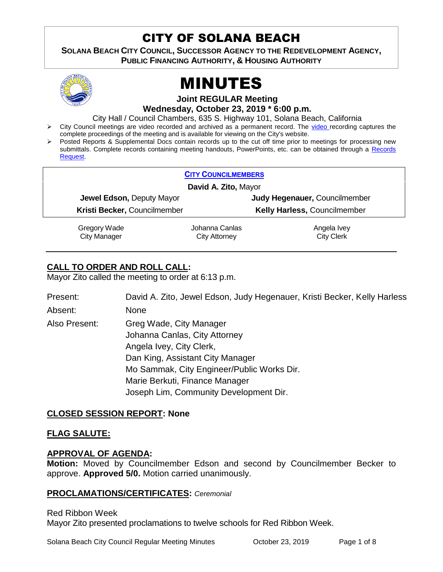## CITY OF SOLANA BEACH

**SOLANA BEACH CITY COUNCIL, SUCCESSOR AGENCY TO THE REDEVELOPMENT AGENCY, PUBLIC FINANCING AUTHORITY, & HOUSING AUTHORITY** 



# MINUTES

**Joint REGULAR Meeting**

**Wednesday, October 23, 2019 \* 6:00 p.m.** 

City Hall / Council Chambers, 635 S. Highway 101, Solana Beach, California

- Tription City Council meetings are [video r](https://solanabeach.12milesout.com/#page=1)ecorded and archived as a permanent record. The video recording captures the complete proceedings of the meeting and is available for viewing on the City's website.
- Posted Reports & Supplemental Docs contain records up to the cut off time prior to meetings for processing new submittals. Complete records containing meeting handouts, PowerPoints, etc. can be obtained through a Records [Request.](http://www.ci.solana-beach.ca.us/index.asp?SEC=F5D45D10-70CE-4291-A27C-7BD633FC6742&Type=B_BASIC)

|                              | <b>CITY COUNCILMEMBERS</b> |                               |  |
|------------------------------|----------------------------|-------------------------------|--|
| David A. Zito, Mayor         |                            |                               |  |
|                              | Jewel Edson, Deputy Mayor  | Judy Hegenauer, Councilmember |  |
| Kristi Becker, Councilmember |                            | Kelly Harless, Councilmember  |  |
| Gregory Wade                 | Johanna Canlas             | Angela Ivey                   |  |
| <b>City Manager</b>          | City Attorney              | <b>City Clerk</b>             |  |

#### **CALL TO ORDER AND ROLL CALL:**

Mayor Zito called the meeting to order at 6:13 p.m.

| David A. Zito, Jewel Edson, Judy Hegenauer, Kristi Becker, Kelly Harless |
|--------------------------------------------------------------------------|
| None                                                                     |
| Greg Wade, City Manager                                                  |
| Johanna Canlas, City Attorney                                            |
| Angela Ivey, City Clerk,                                                 |
| Dan King, Assistant City Manager                                         |
| Mo Sammak, City Engineer/Public Works Dir.                               |
| Marie Berkuti, Finance Manager                                           |
| Joseph Lim, Community Development Dir.                                   |
|                                                                          |

#### **CLOSED SESSION REPORT: None**

#### **FLAG SALUTE:**

#### **APPROVAL OF AGENDA:**

**Motion:** Moved by Councilmember Edson and second by Councilmember Becker to approve. **Approved 5/0.** Motion carried unanimously.

#### **PROCLAMATIONS/CERTIFICATES:** *Ceremonial*

Red Ribbon Week

Mayor Zito presented proclamations to twelve schools for Red Ribbon Week.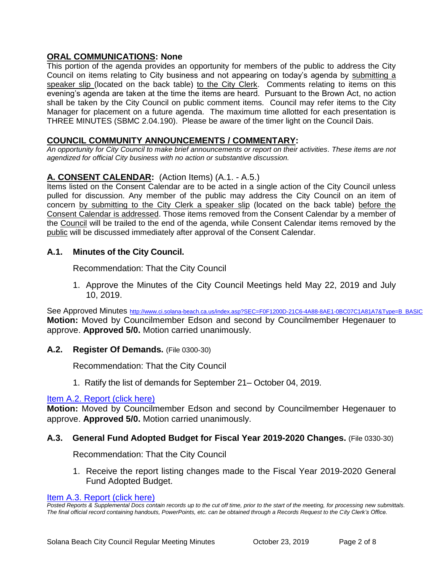#### **ORAL COMMUNICATIONS: None**

This portion of the agenda provides an opportunity for members of the public to address the City Council on items relating to City business and not appearing on today's agenda by submitting a speaker slip (located on the back table) to the City Clerk. Comments relating to items on this evening's agenda are taken at the time the items are heard. Pursuant to the Brown Act, no action shall be taken by the City Council on public comment items. Council may refer items to the City Manager for placement on a future agenda. The maximum time allotted for each presentation is THREE MINUTES (SBMC 2.04.190). Please be aware of the timer light on the Council Dais.

#### **COUNCIL COMMUNITY ANNOUNCEMENTS / COMMENTARY:**

*An opportunity for City Council to make brief announcements or report on their activities. These items are not agendized for official City business with no action or substantive discussion.* 

#### **A. CONSENT CALENDAR:** (Action Items) (A.1. - A.5.)

Items listed on the Consent Calendar are to be acted in a single action of the City Council unless pulled for discussion. Any member of the public may address the City Council on an item of concern by submitting to the City Clerk a speaker slip (located on the back table) before the Consent Calendar is addressed. Those items removed from the Consent Calendar by a member of the Council will be trailed to the end of the agenda, while Consent Calendar items removed by the public will be discussed immediately after approval of the Consent Calendar.

#### **A.1. Minutes of the City Council.**

Recommendation: That the City Council

1. Approve the Minutes of the City Council Meetings held May 22, 2019 and July 10, 2019.

See Approved Minutes [http://www.ci.solana-beach.ca.us/index.asp?SEC=F0F1200D-21C6-4A88-8AE1-0BC07C1A81A7&Type=B\\_BASIC](http://www.ci.solana-beach.ca.us/index.asp?SEC=F0F1200D-21C6-4A88-8AE1-0BC07C1A81A7&Type=B_BASIC) **Motion:** Moved by Councilmember Edson and second by Councilmember Hegenauer to approve. **Approved 5/0.** Motion carried unanimously.

#### **A.2. Register Of Demands.** (File 0300-30)

Recommendation: That the City Council

1. Ratify the list of demands for September 21– October 04, 2019.

#### [Item A.2. Report \(click here\)](https://solanabeach.govoffice3.com/vertical/Sites/%7B840804C2-F869-4904-9AE3-720581350CE7%7D/uploads/Item_A.2._Report_(click_here)_10-23-19_-_O.pdf)

**Motion:** Moved by Councilmember Edson and second by Councilmember Hegenauer to approve. **Approved 5/0.** Motion carried unanimously.

#### **A.3. General Fund Adopted Budget for Fiscal Year 2019-2020 Changes.** (File 0330-30)

Recommendation: That the City Council

1. Receive the report listing changes made to the Fiscal Year 2019-2020 General Fund Adopted Budget.

#### [Item A.3. Report \(click here\)](https://solanabeach.govoffice3.com/vertical/Sites/%7B840804C2-F869-4904-9AE3-720581350CE7%7D/uploads/Item_A.3._Report_(click_here)_10-23-19_-_O.pdf)

*Posted Reports & Supplemental Docs contain records up to the cut off time, prior to the start of the meeting, for processing new submittals. The final official record containing handouts, PowerPoints, etc. can be obtained through a Records Request to the City Clerk's Office.*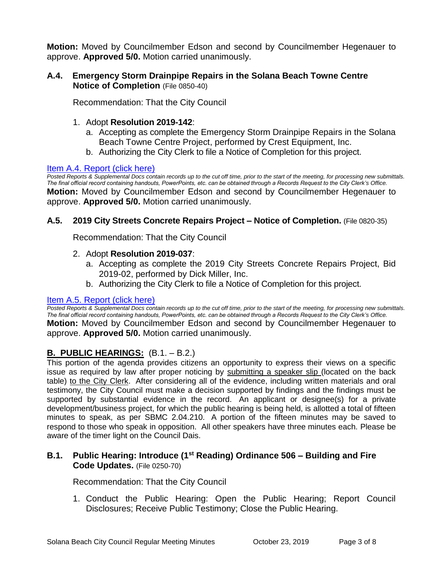**Motion:** Moved by Councilmember Edson and second by Councilmember Hegenauer to approve. **Approved 5/0.** Motion carried unanimously.

#### **A.4. Emergency Storm Drainpipe Repairs in the Solana Beach Towne Centre Notice of Completion** (File 0850-40)

Recommendation: That the City Council

#### 1. Adopt **Resolution 2019-142**:

- a. Accepting as complete the Emergency Storm Drainpipe Repairs in the Solana Beach Towne Centre Project, performed by Crest Equipment, Inc.
- b. Authorizing the City Clerk to file a Notice of Completion for this project.

#### [Item A.4. Report \(click here\)](https://solanabeach.govoffice3.com/vertical/Sites/%7B840804C2-F869-4904-9AE3-720581350CE7%7D/uploads/Item_A.4._Report_(click_here)_10-23-19_-_O.pdf)

*Posted Reports & Supplemental Docs contain records up to the cut off time, prior to the start of the meeting, for processing new submittals. The final official record containing handouts, PowerPoints, etc. can be obtained through a Records Request to the City Clerk's Office.* **Motion:** Moved by Councilmember Edson and second by Councilmember Hegenauer to approve. **Approved 5/0.** Motion carried unanimously.

#### **A.5. 2019 City Streets Concrete Repairs Project – Notice of Completion.** (File 0820-35)

Recommendation: That the City Council

#### 2. Adopt **Resolution 2019-037**:

- a. Accepting as complete the 2019 City Streets Concrete Repairs Project, Bid 2019-02, performed by Dick Miller, Inc.
- b. Authorizing the City Clerk to file a Notice of Completion for this project.

#### [Item A.5. Report \(click here\)](https://solanabeach.govoffice3.com/vertical/Sites/%7B840804C2-F869-4904-9AE3-720581350CE7%7D/uploads/Item_A.5._Report_(click_here)_10-23-19_-_O.pdf)

*Posted Reports & Supplemental Docs contain records up to the cut off time, prior to the start of the meeting, for processing new submittals. The final official record containing handouts, PowerPoints, etc. can be obtained through a Records Request to the City Clerk's Office.* **Motion:** Moved by Councilmember Edson and second by Councilmember Hegenauer to approve. **Approved 5/0.** Motion carried unanimously.

#### **B. PUBLIC HEARINGS:** (B.1. – B.2.)

This portion of the agenda provides citizens an opportunity to express their views on a specific issue as required by law after proper noticing by submitting a speaker slip (located on the back table) to the City Clerk. After considering all of the evidence, including written materials and oral testimony, the City Council must make a decision supported by findings and the findings must be supported by substantial evidence in the record. An applicant or designee(s) for a private development/business project, for which the public hearing is being held, is allotted a total of fifteen minutes to speak, as per SBMC 2.04.210. A portion of the fifteen minutes may be saved to respond to those who speak in opposition. All other speakers have three minutes each. Please be aware of the timer light on the Council Dais.

#### **B.1. Public Hearing: Introduce (1 st Reading) Ordinance 506 – Building and Fire Code Updates.** (File 0250-70)

Recommendation: That the City Council

1. Conduct the Public Hearing: Open the Public Hearing; Report Council Disclosures; Receive Public Testimony; Close the Public Hearing.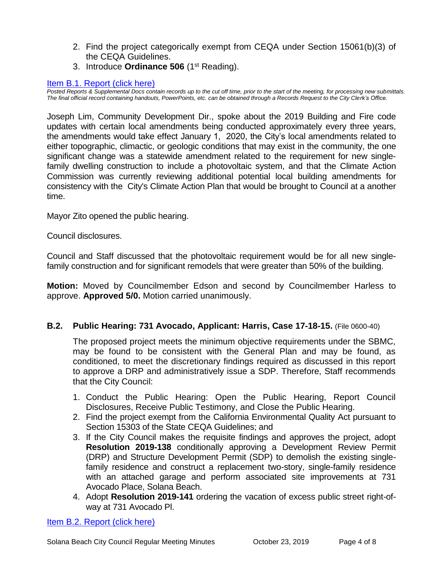- 2. Find the project categorically exempt from CEQA under Section 15061(b)(3) of the CEQA Guidelines.
- 3. Introduce **Ordinance 506** (1st Reading).

#### [Item B.1. Report \(click here\)](https://solanabeach.govoffice3.com/vertical/Sites/%7B840804C2-F869-4904-9AE3-720581350CE7%7D/uploads/Item_B.1._Report_(click_here)_10-23-19_-_O.pdf)

*Posted Reports & Supplemental Docs contain records up to the cut off time, prior to the start of the meeting, for processing new submittals. The final official record containing handouts, PowerPoints, etc. can be obtained through a Records Request to the City Clerk's Office.*

Joseph Lim, Community Development Dir., spoke about the 2019 Building and Fire code updates with certain local amendments being conducted approximately every three years, the amendments would take effect January 1, 2020, the City's local amendments related to either topographic, climactic, or geologic conditions that may exist in the community, the one significant change was a statewide amendment related to the requirement for new singlefamily dwelling construction to include a photovoltaic system, and that the Climate Action Commission was currently reviewing additional potential local building amendments for consistency with the City's Climate Action Plan that would be brought to Council at a another time.

Mayor Zito opened the public hearing.

Council disclosures.

Council and Staff discussed that the photovoltaic requirement would be for all new singlefamily construction and for significant remodels that were greater than 50% of the building.

**Motion:** Moved by Councilmember Edson and second by Councilmember Harless to approve. **Approved 5/0.** Motion carried unanimously.

#### **B.2. Public Hearing: 731 Avocado, Applicant: Harris, Case 17-18-15.** (File 0600-40)

The proposed project meets the minimum objective requirements under the SBMC, may be found to be consistent with the General Plan and may be found, as conditioned, to meet the discretionary findings required as discussed in this report to approve a DRP and administratively issue a SDP. Therefore, Staff recommends that the City Council:

- 1. Conduct the Public Hearing: Open the Public Hearing, Report Council Disclosures, Receive Public Testimony, and Close the Public Hearing.
- 2. Find the project exempt from the California Environmental Quality Act pursuant to Section 15303 of the State CEQA Guidelines; and
- 3. If the City Council makes the requisite findings and approves the project, adopt **Resolution 2019-138** conditionally approving a Development Review Permit (DRP) and Structure Development Permit (SDP) to demolish the existing singlefamily residence and construct a replacement two-story, single-family residence with an attached garage and perform associated site improvements at 731 Avocado Place, Solana Beach.
- 4. Adopt **Resolution 2019-141** ordering the vacation of excess public street right-ofway at 731 Avocado Pl.

[Item B.2. Report \(click here\)](https://solanabeach.govoffice3.com/vertical/Sites/%7B840804C2-F869-4904-9AE3-720581350CE7%7D/uploads/Item_B.2._Report_(click_here)_10-23-19_-_O.pdf)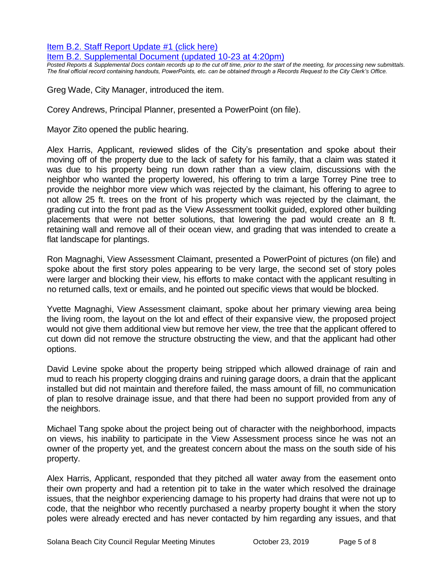[Item B.2. Staff Report Update #1 \(click here\)](https://solanabeach.govoffice3.com/vertical/Sites/%7B840804C2-F869-4904-9AE3-720581350CE7%7D/uploads/Item_B.2._Staff_Report_Update_1_-_O.pdf)

[Item B.2. Supplemental Document \(updated 10-23 at 4:20pm\)](https://solanabeach.govoffice3.com/vertical/Sites/%7B840804C2-F869-4904-9AE3-720581350CE7%7D/uploads/Item_B.2._Supplemental_Items_(10-23_at_417pm)_-_O.pdf)

*Posted Reports & Supplemental Docs contain records up to the cut off time, prior to the start of the meeting, for processing new submittals. The final official record containing handouts, PowerPoints, etc. can be obtained through a Records Request to the City Clerk's Office.*

Greg Wade, City Manager, introduced the item.

Corey Andrews, Principal Planner, presented a PowerPoint (on file).

Mayor Zito opened the public hearing.

Alex Harris, Applicant, reviewed slides of the City's presentation and spoke about their moving off of the property due to the lack of safety for his family, that a claim was stated it was due to his property being run down rather than a view claim, discussions with the neighbor who wanted the property lowered, his offering to trim a large Torrey Pine tree to provide the neighbor more view which was rejected by the claimant, his offering to agree to not allow 25 ft. trees on the front of his property which was rejected by the claimant, the grading cut into the front pad as the View Assessment toolkit guided, explored other building placements that were not better solutions, that lowering the pad would create an 8 ft. retaining wall and remove all of their ocean view, and grading that was intended to create a flat landscape for plantings.

Ron Magnaghi, View Assessment Claimant, presented a PowerPoint of pictures (on file) and spoke about the first story poles appearing to be very large, the second set of story poles were larger and blocking their view, his efforts to make contact with the applicant resulting in no returned calls, text or emails, and he pointed out specific views that would be blocked.

Yvette Magnaghi, View Assessment claimant, spoke about her primary viewing area being the living room, the layout on the lot and effect of their expansive view, the proposed project would not give them additional view but remove her view, the tree that the applicant offered to cut down did not remove the structure obstructing the view, and that the applicant had other options.

David Levine spoke about the property being stripped which allowed drainage of rain and mud to reach his property clogging drains and ruining garage doors, a drain that the applicant installed but did not maintain and therefore failed, the mass amount of fill, no communication of plan to resolve drainage issue, and that there had been no support provided from any of the neighbors.

Michael Tang spoke about the project being out of character with the neighborhood, impacts on views, his inability to participate in the View Assessment process since he was not an owner of the property yet, and the greatest concern about the mass on the south side of his property.

Alex Harris, Applicant, responded that they pitched all water away from the easement onto their own property and had a retention pit to take in the water which resolved the drainage issues, that the neighbor experiencing damage to his property had drains that were not up to code, that the neighbor who recently purchased a nearby property bought it when the story poles were already erected and has never contacted by him regarding any issues, and that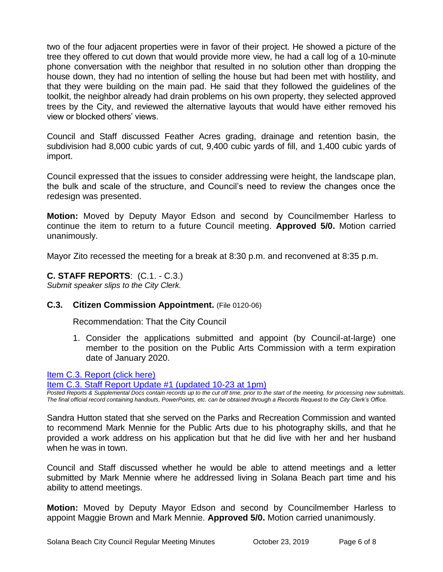two of the four adjacent properties were in favor of their project. He showed a picture of the tree they offered to cut down that would provide more view, he had a call log of a 10-minute phone conversation with the neighbor that resulted in no solution other than dropping the house down, they had no intention of selling the house but had been met with hostility, and that they were building on the main pad. He said that they followed the guidelines of the toolkit, the neighbor already had drain problems on his own property, they selected approved trees by the City, and reviewed the alternative layouts that would have either removed his view or blocked others' views.

Council and Staff discussed Feather Acres grading, drainage and retention basin, the subdivision had 8,000 cubic yards of cut, 9,400 cubic yards of fill, and 1,400 cubic yards of import.

Council expressed that the issues to consider addressing were height, the landscape plan, the bulk and scale of the structure, and Council's need to review the changes once the redesign was presented.

**Motion:** Moved by Deputy Mayor Edson and second by Councilmember Harless to continue the item to return to a future Council meeting. **Approved 5/0.** Motion carried unanimously.

Mayor Zito recessed the meeting for a break at 8:30 p.m. and reconvened at 8:35 p.m.

**C. STAFF REPORTS**: (C.1. - C.3.) *Submit speaker slips to the City Clerk.*

### **C.3. Citizen Commission Appointment.** (File 0120-06)

Recommendation: That the City Council

1. Consider the applications submitted and appoint (by Council-at-large) one member to the position on the Public Arts Commission with a term expiration date of January 2020.

[Item C.3. Report \(click here\)](https://solanabeach.govoffice3.com/vertical/Sites/%7B840804C2-F869-4904-9AE3-720581350CE7%7D/uploads/Item_C.3._Report_(click_here)_10-23-19_-_O.pdf) 

[Item C.3. Staff Report Update #1 \(updated 10-23 at 1pm\)](https://solanabeach.govoffice3.com/vertical/Sites/%7B840804C2-F869-4904-9AE3-720581350CE7%7D/uploads/Item_C.3._Staff_Report_Update_1_(updated_10-23_at_1255pm)_-_O.pdf)

*Posted Reports & Supplemental Docs contain records up to the cut off time, prior to the start of the meeting, for processing new submittals. The final official record containing handouts, PowerPoints, etc. can be obtained through a Records Request to the City Clerk's Office.*

Sandra Hutton stated that she served on the Parks and Recreation Commission and wanted to recommend Mark Mennie for the Public Arts due to his photography skills, and that he provided a work address on his application but that he did live with her and her husband when he was in town.

Council and Staff discussed whether he would be able to attend meetings and a letter submitted by Mark Mennie where he addressed living in Solana Beach part time and his ability to attend meetings.

**Motion:** Moved by Deputy Mayor Edson and second by Councilmember Harless to appoint Maggie Brown and Mark Mennie. **Approved 5/0.** Motion carried unanimously.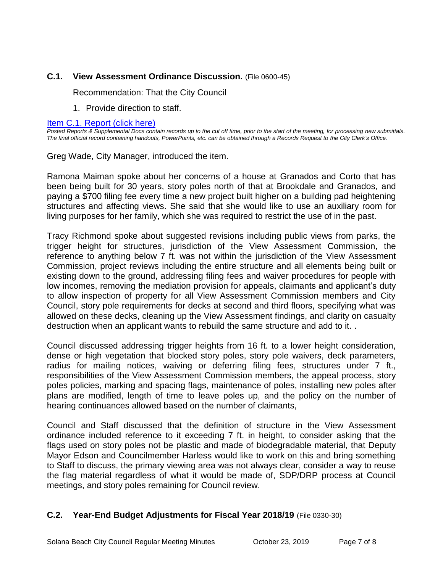#### **C.1. View Assessment Ordinance Discussion.** (File 0600-45)

Recommendation: That the City Council

1. Provide direction to staff.

[Item C.1. Report \(click here\)](https://solanabeach.govoffice3.com/vertical/Sites/%7B840804C2-F869-4904-9AE3-720581350CE7%7D/uploads/Item_C.1._Report_(click_here)_10-23-19_-_O.pdf) 

*Posted Reports & Supplemental Docs contain records up to the cut off time, prior to the start of the meeting, for processing new submittals. The final official record containing handouts, PowerPoints, etc. can be obtained through a Records Request to the City Clerk's Office.*

Greg Wade, City Manager, introduced the item.

Ramona Maiman spoke about her concerns of a house at Granados and Corto that has been being built for 30 years, story poles north of that at Brookdale and Granados, and paying a \$700 filing fee every time a new project built higher on a building pad heightening structures and affecting views. She said that she would like to use an auxiliary room for living purposes for her family, which she was required to restrict the use of in the past.

Tracy Richmond spoke about suggested revisions including public views from parks, the trigger height for structures, jurisdiction of the View Assessment Commission, the reference to anything below 7 ft. was not within the jurisdiction of the View Assessment Commission, project reviews including the entire structure and all elements being built or existing down to the ground, addressing filing fees and waiver procedures for people with low incomes, removing the mediation provision for appeals, claimants and applicant's duty to allow inspection of property for all View Assessment Commission members and City Council, story pole requirements for decks at second and third floors, specifying what was allowed on these decks, cleaning up the View Assessment findings, and clarity on casualty destruction when an applicant wants to rebuild the same structure and add to it. .

Council discussed addressing trigger heights from 16 ft. to a lower height consideration, dense or high vegetation that blocked story poles, story pole waivers, deck parameters, radius for mailing notices, waiving or deferring filing fees, structures under 7 ft., responsibilities of the View Assessment Commission members, the appeal process, story poles policies, marking and spacing flags, maintenance of poles, installing new poles after plans are modified, length of time to leave poles up, and the policy on the number of hearing continuances allowed based on the number of claimants,

Council and Staff discussed that the definition of structure in the View Assessment ordinance included reference to it exceeding 7 ft. in height, to consider asking that the flags used on story poles not be plastic and made of biodegradable material, that Deputy Mayor Edson and Councilmember Harless would like to work on this and bring something to Staff to discuss, the primary viewing area was not always clear, consider a way to reuse the flag material regardless of what it would be made of, SDP/DRP process at Council meetings, and story poles remaining for Council review.

#### **C.2. Year-End Budget Adjustments for Fiscal Year 2018/19** (File 0330-30)